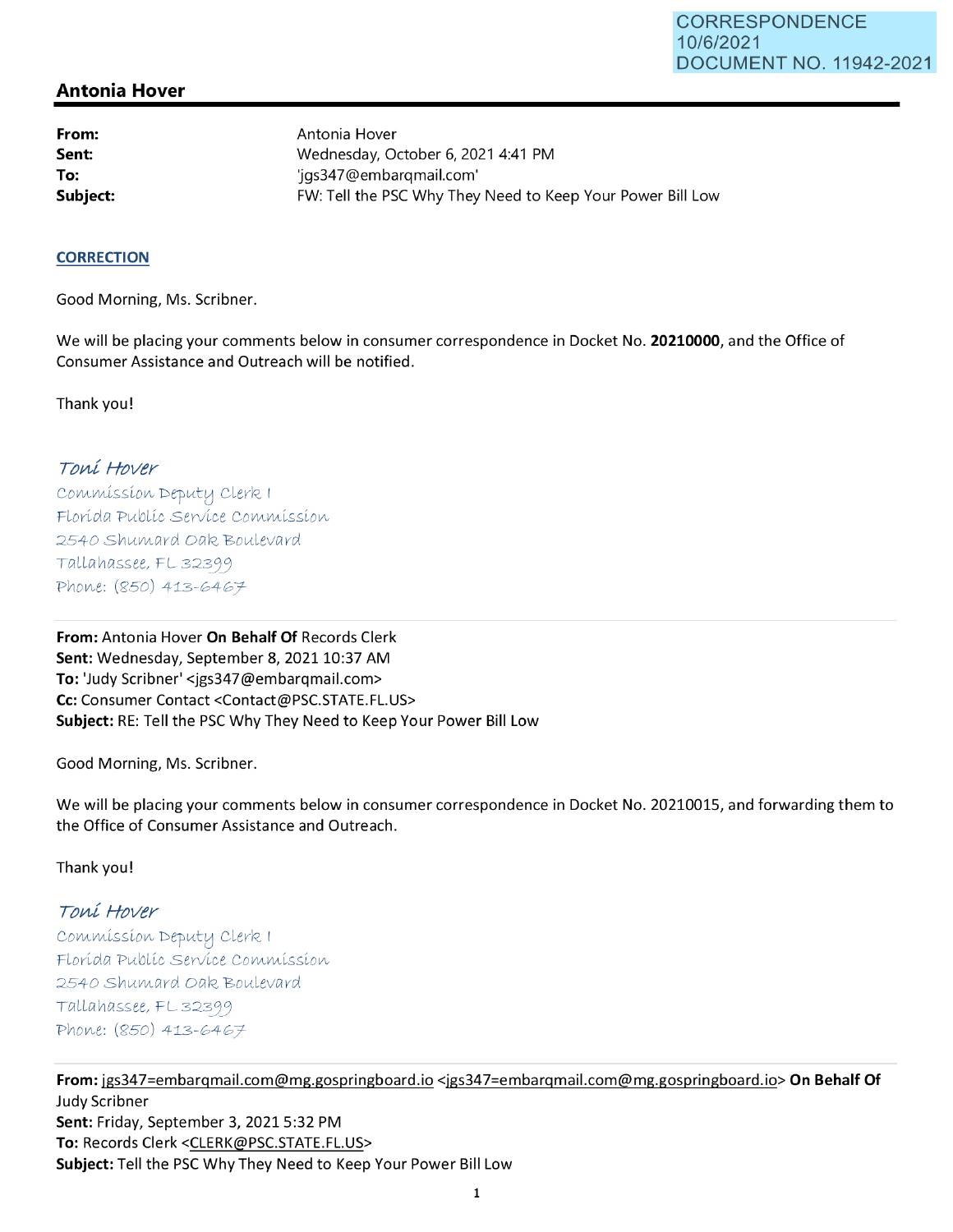## **Antonia Hover**

**From: Sent: To:** 

Antonia Hover Wednesday, October 6, 2021 4:41 PM 1gs347@embarqmail.com' **Subject: EXALG:** FW: Tell the PSC Why They Need to Keep Your Power Bill Low

## **CORRECTION**

Good Morning, Ms. Scribner.

We will be placing your comments below in consumer correspondence in Docket No. **20210000,** and the Office of Consumer Assistance and Outreach will be notified.

Thank you!

## Toní Hover

Commission Deputy Clerk 1 Florída Publíc Service Commission 2540 Shumard Oak Boulevard  $Tallahasse, FL 32399$ *PV\oV\,e: (Si'50)* 413-G4G *T* 

**From:** Antonia Hover **On Behalf Of** Records Clerk Sent: Wednesday, September 8, 2021 10:37 AM **To:** 'Judy Scribner' <jgs347@embarqmail.com> **Cc:** Consumer Contact <Contact@PSC.STATE.FL.US> **Subject:** RE: Tell the PSC Why They Need to Keep Your Power Bill Low

Good Morning, Ms. Scribner.

We will be placing your comments below in consumer correspondence in Docket No. 20210015, and forwarding them to the Office of Consumer Assistance and Outreach.

Thank you!

## Toní Hover

 $Commission$  Deputy Clerk I Florída Publíc Servíce Commission 2540 Shumard Oak Boulevard  $Tallahasse, FL 32399$ Phone: (850) 413-6467

**From:** jgs347=embarqmail.com@mg.gospringboard.io <jgs347=embarqmail.com@mg.gospringboard.io> **On Behalf Of**  Judy Scribner **Sent:** Friday, September 3, 2021 5:32 PM **To:** Records Clerk <CLERK@PSC.STATE.FL.US> **Subject:** Tell the PSC Why They Need to Keep Your Power Bill Low